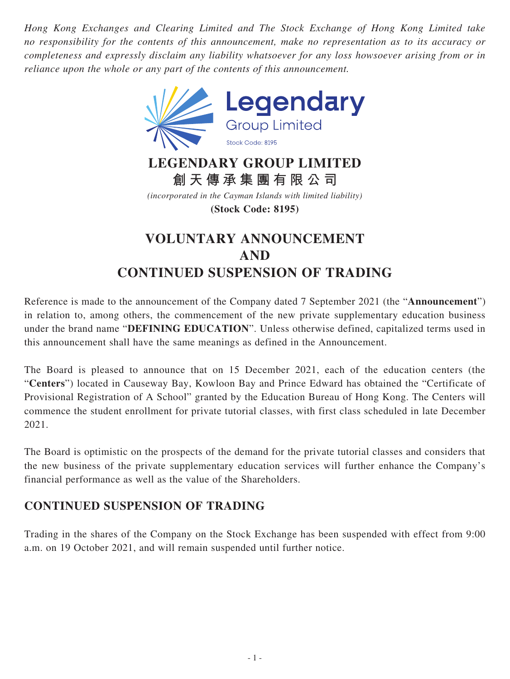*Hong Kong Exchanges and Clearing Limited and The Stock Exchange of Hong Kong Limited take no responsibility for the contents of this announcement, make no representation as to its accuracy or completeness and expressly disclaim any liability whatsoever for any loss howsoever arising from or in reliance upon the whole or any part of the contents of this announcement.*



## **LEGENDARY GROUP LIMITED 創天傳承集團有限公司**

*(incorporated in the Cayman Islands with limited liability)* **(Stock Code: 8195)**

## **VOLUNTARY ANNOUNCEMENT AND CONTINUED SUSPENSION OF TRADING**

Reference is made to the announcement of the Company dated 7 September 2021 (the "**Announcement**") in relation to, among others, the commencement of the new private supplementary education business under the brand name "**DEFINING EDUCATION**". Unless otherwise defined, capitalized terms used in this announcement shall have the same meanings as defined in the Announcement.

The Board is pleased to announce that on 15 December 2021, each of the education centers (the "**Centers**") located in Causeway Bay, Kowloon Bay and Prince Edward has obtained the "Certificate of Provisional Registration of A School" granted by the Education Bureau of Hong Kong. The Centers will commence the student enrollment for private tutorial classes, with first class scheduled in late December 2021.

The Board is optimistic on the prospects of the demand for the private tutorial classes and considers that the new business of the private supplementary education services will further enhance the Company's financial performance as well as the value of the Shareholders.

## **CONTINUED SUSPENSION OF TRADING**

Trading in the shares of the Company on the Stock Exchange has been suspended with effect from 9:00 a.m. on 19 October 2021, and will remain suspended until further notice.